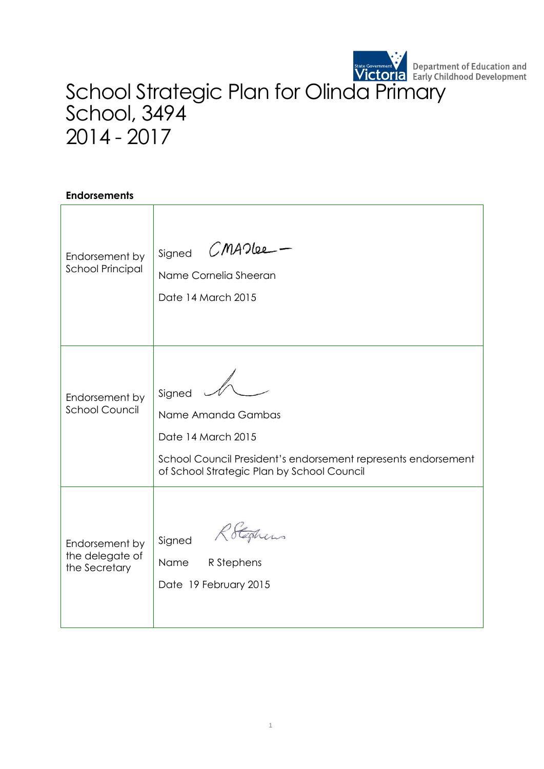

## School Strategic Plan for Olinda Primary School, 3494 2014 - 2017

## **Endorsements**

| Endorsement by<br><b>School Principal</b>          | CMADLee<br>Signed<br>Name Cornelia Sheeran<br>Date 14 March 2015                                                                                                  |
|----------------------------------------------------|-------------------------------------------------------------------------------------------------------------------------------------------------------------------|
| Endorsement by<br><b>School Council</b>            | Signed<br>Name Amanda Gambas<br>Date 14 March 2015<br>School Council President's endorsement represents endorsement<br>of School Strategic Plan by School Council |
| Endorsement by<br>the delegate of<br>the Secretary | Rotestiens<br>Signed<br>R Stephens<br>Name<br>Date 19 February 2015                                                                                               |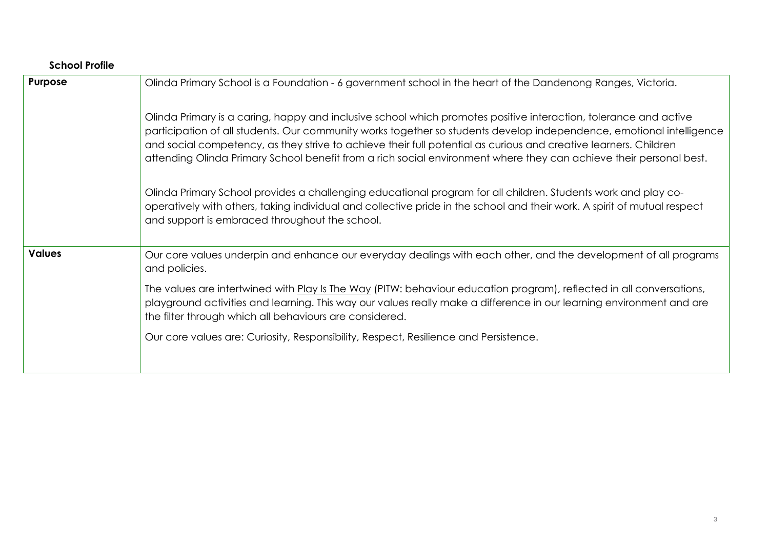| <b>School Profile</b> |                                                                                                                                                                                                                                                                                                                                                                                                                                                                                    |
|-----------------------|------------------------------------------------------------------------------------------------------------------------------------------------------------------------------------------------------------------------------------------------------------------------------------------------------------------------------------------------------------------------------------------------------------------------------------------------------------------------------------|
| Purpose               | Olinda Primary School is a Foundation - 6 government school in the heart of the Dandenong Ranges, Victoria.                                                                                                                                                                                                                                                                                                                                                                        |
|                       | Olinda Primary is a caring, happy and inclusive school which promotes positive interaction, tolerance and active<br>participation of all students. Our community works together so students develop independence, emotional intelligence<br>and social competency, as they strive to achieve their full potential as curious and creative learners. Children<br>attending Olinda Primary School benefit from a rich social environment where they can achieve their personal best. |
|                       | Olinda Primary School provides a challenging educational program for all children. Students work and play co-<br>operatively with others, taking individual and collective pride in the school and their work. A spirit of mutual respect<br>and support is embraced throughout the school.                                                                                                                                                                                        |
| <b>Values</b>         | Our core values underpin and enhance our everyday dealings with each other, and the development of all programs<br>and policies.                                                                                                                                                                                                                                                                                                                                                   |
|                       | The values are intertwined with Play Is The Way (PITW: behaviour education program), reflected in all conversations,<br>playground activities and learning. This way our values really make a difference in our learning environment and are<br>the filter through which all behaviours are considered.                                                                                                                                                                            |
|                       | Our core values are: Curiosity, Responsibility, Respect, Resilience and Persistence.                                                                                                                                                                                                                                                                                                                                                                                               |
|                       |                                                                                                                                                                                                                                                                                                                                                                                                                                                                                    |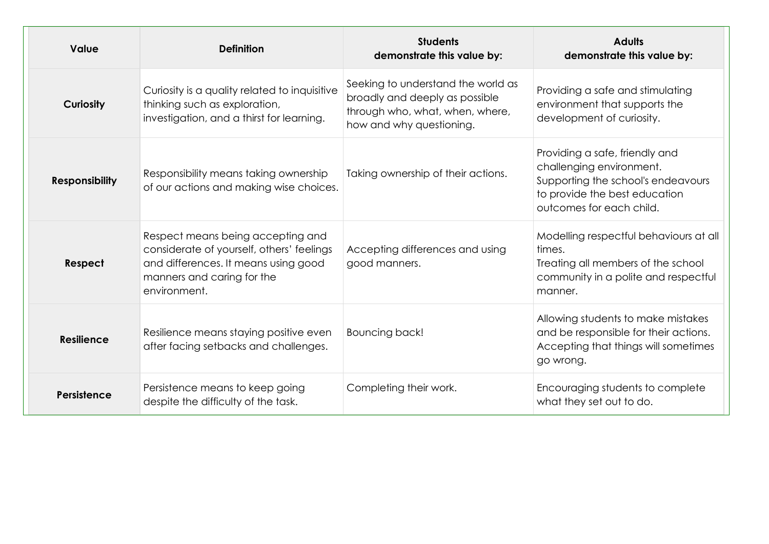| <b>Value</b>          | <b>Definition</b>                                                                                                                                                    | <b>Students</b><br>demonstrate this value by:                                                                                       | <b>Adults</b><br>demonstrate this value by:                                                                                                                   |
|-----------------------|----------------------------------------------------------------------------------------------------------------------------------------------------------------------|-------------------------------------------------------------------------------------------------------------------------------------|---------------------------------------------------------------------------------------------------------------------------------------------------------------|
| <b>Curiosity</b>      | Curiosity is a quality related to inquisitive<br>thinking such as exploration,<br>investigation, and a thirst for learning.                                          | Seeking to understand the world as<br>broadly and deeply as possible<br>through who, what, when, where,<br>how and why questioning. | Providing a safe and stimulating<br>environment that supports the<br>development of curiosity.                                                                |
| <b>Responsibility</b> | Responsibility means taking ownership<br>of our actions and making wise choices.                                                                                     | Taking ownership of their actions.                                                                                                  | Providing a safe, friendly and<br>challenging environment.<br>Supporting the school's endeavours<br>to provide the best education<br>outcomes for each child. |
| Respect               | Respect means being accepting and<br>considerate of yourself, others' feelings<br>and differences. It means using good<br>manners and caring for the<br>environment. | Accepting differences and using<br>good manners.                                                                                    | Modelling respectful behaviours at all<br>times.<br>Treating all members of the school<br>community in a polite and respectful<br>manner.                     |
| <b>Resilience</b>     | Resilience means staying positive even<br>after facing setbacks and challenges.                                                                                      | Bouncing back!                                                                                                                      | Allowing students to make mistakes<br>and be responsible for their actions.<br>Accepting that things will sometimes<br>go wrong.                              |
| Persistence           | Persistence means to keep going<br>despite the difficulty of the task.                                                                                               | Completing their work.                                                                                                              | Encouraging students to complete<br>what they set out to do.                                                                                                  |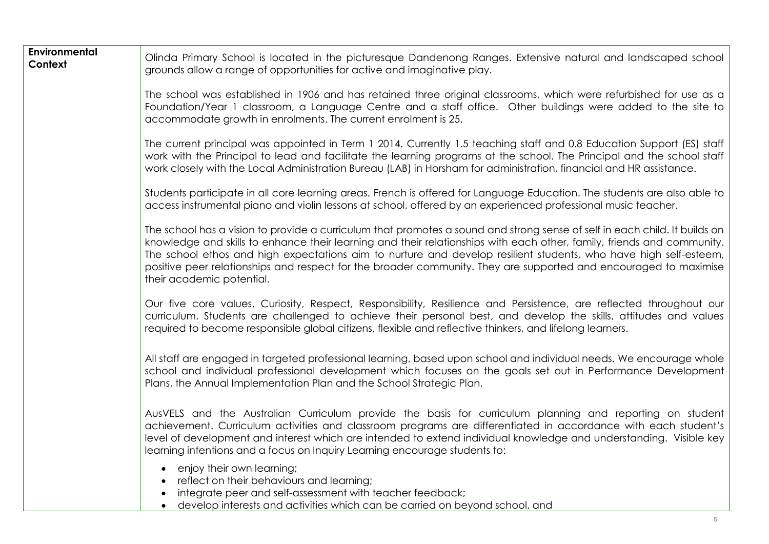| <b>Environmental</b><br>Context | Olinda Primary School is located in the picturesque Dandenong Ranges. Extensive natural and landscaped school<br>grounds allow a range of opportunities for active and imaginative play.                                                                                                                                                                                                                                                                                                                                  |  |  |  |
|---------------------------------|---------------------------------------------------------------------------------------------------------------------------------------------------------------------------------------------------------------------------------------------------------------------------------------------------------------------------------------------------------------------------------------------------------------------------------------------------------------------------------------------------------------------------|--|--|--|
|                                 | The school was established in 1906 and has retained three original classrooms, which were refurbished for use as a<br>Foundation/Year 1 classroom, a Language Centre and a staff office. Other buildings were added to the site to<br>accommodate growth in enrolments. The current enrolment is 25.                                                                                                                                                                                                                      |  |  |  |
|                                 | The current principal was appointed in Term 1 2014. Currently 1.5 teaching staff and 0.8 Education Support (ES) staff<br>work with the Principal to lead and facilitate the learning programs at the school. The Principal and the school staff<br>work closely with the Local Administration Bureau (LAB) in Horsham for administration, financial and HR assistance.                                                                                                                                                    |  |  |  |
|                                 | Students participate in all core learning areas. French is offered for Language Education. The students are also able to<br>access instrumental piano and violin lessons at school, offered by an experienced professional music teacher.                                                                                                                                                                                                                                                                                 |  |  |  |
|                                 | The school has a vision to provide a curriculum that promotes a sound and strong sense of self in each child. It builds on<br>knowledge and skills to enhance their learning and their relationships with each other, family, friends and community.<br>The school ethos and high expectations aim to nurture and develop resilient students, who have high self-esteem,<br>positive peer relationships and respect for the broader community. They are supported and encouraged to maximise<br>their academic potential. |  |  |  |
|                                 | Our five core values, Curiosity, Respect, Responsibility, Resilience and Persistence, are reflected throughout our<br>curriculum. Students are challenged to achieve their personal best, and develop the skills, attitudes and values<br>required to become responsible global citizens, flexible and reflective thinkers, and lifelong learners.                                                                                                                                                                        |  |  |  |
|                                 | All staff are engaged in targeted professional learning, based upon school and individual needs. We encourage whole<br>school and individual professional development which focuses on the goals set out in Performance Development<br>Plans, the Annual Implementation Plan and the School Strategic Plan.                                                                                                                                                                                                               |  |  |  |
|                                 | AusVELS and the Australian Curriculum provide the basis for curriculum planning and reporting on student<br>achievement. Curriculum activities and classroom programs are differentiated in accordance with each student's<br>level of development and interest which are intended to extend individual knowledge and understanding. Visible key<br>learning intentions and a focus on Inquiry Learning encourage students to:                                                                                            |  |  |  |
|                                 | enjoy their own learning;<br>reflect on their behaviours and learning;<br>integrate peer and self-assessment with teacher feedback;<br>develop interests and activities which can be carried on beyond school, and                                                                                                                                                                                                                                                                                                        |  |  |  |
|                                 | 5                                                                                                                                                                                                                                                                                                                                                                                                                                                                                                                         |  |  |  |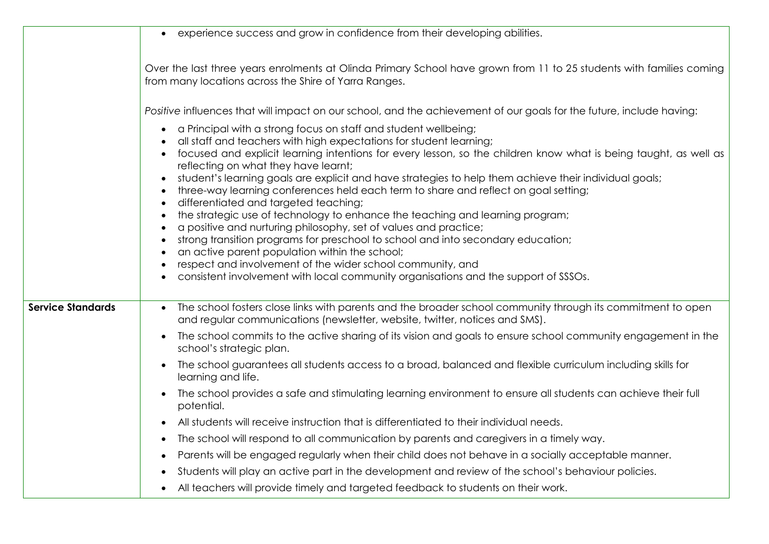|                          | experience success and grow in confidence from their developing abilities.                                                                                                                                                                                                                                                                                                                                                                                                                                                                                                                                                                                                                                                                                                                                                                                                                                                                                                                                |
|--------------------------|-----------------------------------------------------------------------------------------------------------------------------------------------------------------------------------------------------------------------------------------------------------------------------------------------------------------------------------------------------------------------------------------------------------------------------------------------------------------------------------------------------------------------------------------------------------------------------------------------------------------------------------------------------------------------------------------------------------------------------------------------------------------------------------------------------------------------------------------------------------------------------------------------------------------------------------------------------------------------------------------------------------|
|                          |                                                                                                                                                                                                                                                                                                                                                                                                                                                                                                                                                                                                                                                                                                                                                                                                                                                                                                                                                                                                           |
|                          | Over the last three years enrolments at Olinda Primary School have grown from 11 to 25 students with families coming<br>from many locations across the Shire of Yarra Ranges.                                                                                                                                                                                                                                                                                                                                                                                                                                                                                                                                                                                                                                                                                                                                                                                                                             |
|                          | Positive influences that will impact on our school, and the achievement of our goals for the future, include having:                                                                                                                                                                                                                                                                                                                                                                                                                                                                                                                                                                                                                                                                                                                                                                                                                                                                                      |
|                          | a Principal with a strong focus on staff and student wellbeing;<br>$\bullet$<br>all staff and teachers with high expectations for student learning;<br>focused and explicit learning intentions for every lesson, so the children know what is being taught, as well as<br>reflecting on what they have learnt;<br>student's learning goals are explicit and have strategies to help them achieve their individual goals;<br>three-way learning conferences held each term to share and reflect on goal setting;<br>differentiated and targeted teaching;<br>the strategic use of technology to enhance the teaching and learning program;<br>a positive and nurturing philosophy, set of values and practice;<br>strong transition programs for preschool to school and into secondary education;<br>an active parent population within the school;<br>respect and involvement of the wider school community, and<br>consistent involvement with local community organisations and the support of SSSOs. |
| <b>Service Standards</b> | The school fosters close links with parents and the broader school community through its commitment to open<br>and regular communications (newsletter, website, twitter, notices and SMS).<br>The school commits to the active sharing of its vision and goals to ensure school community engagement in the                                                                                                                                                                                                                                                                                                                                                                                                                                                                                                                                                                                                                                                                                               |
|                          | school's strategic plan.                                                                                                                                                                                                                                                                                                                                                                                                                                                                                                                                                                                                                                                                                                                                                                                                                                                                                                                                                                                  |
|                          | The school guarantees all students access to a broad, balanced and flexible curriculum including skills for<br>learning and life.                                                                                                                                                                                                                                                                                                                                                                                                                                                                                                                                                                                                                                                                                                                                                                                                                                                                         |
|                          | The school provides a safe and stimulating learning environment to ensure all students can achieve their full<br>potential.                                                                                                                                                                                                                                                                                                                                                                                                                                                                                                                                                                                                                                                                                                                                                                                                                                                                               |
|                          | All students will receive instruction that is differentiated to their individual needs.                                                                                                                                                                                                                                                                                                                                                                                                                                                                                                                                                                                                                                                                                                                                                                                                                                                                                                                   |
|                          | The school will respond to all communication by parents and caregivers in a timely way.                                                                                                                                                                                                                                                                                                                                                                                                                                                                                                                                                                                                                                                                                                                                                                                                                                                                                                                   |
|                          | Parents will be engaged regularly when their child does not behave in a socially acceptable manner.                                                                                                                                                                                                                                                                                                                                                                                                                                                                                                                                                                                                                                                                                                                                                                                                                                                                                                       |
|                          | Students will play an active part in the development and review of the school's behaviour policies.                                                                                                                                                                                                                                                                                                                                                                                                                                                                                                                                                                                                                                                                                                                                                                                                                                                                                                       |
|                          | All teachers will provide timely and targeted feedback to students on their work.                                                                                                                                                                                                                                                                                                                                                                                                                                                                                                                                                                                                                                                                                                                                                                                                                                                                                                                         |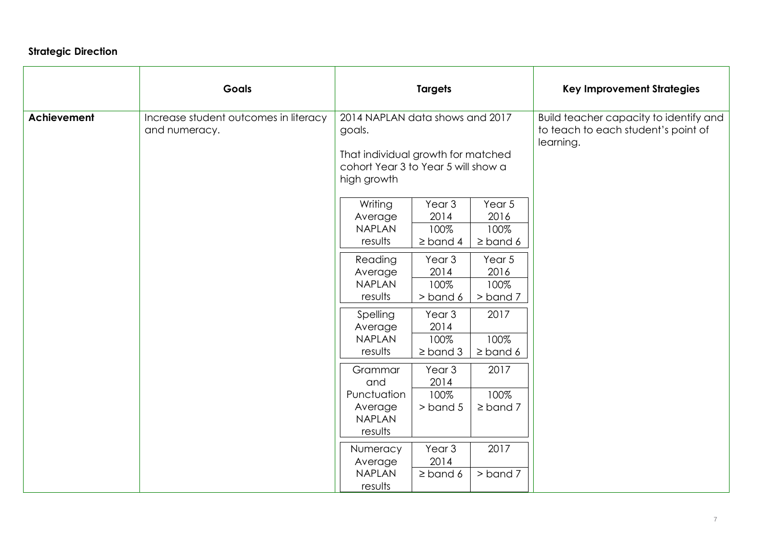## **Strategic Direction**

|                    | <b>Goals</b>                                           |                                                                                                                                       | <b>Targets</b>                                     |                                         | <b>Key Improvement Strategies</b>                                                          |
|--------------------|--------------------------------------------------------|---------------------------------------------------------------------------------------------------------------------------------------|----------------------------------------------------|-----------------------------------------|--------------------------------------------------------------------------------------------|
| <b>Achievement</b> | Increase student outcomes in literacy<br>and numeracy. | 2014 NAPLAN data shows and 2017<br>goals.<br>That individual growth for matched<br>cohort Year 3 to Year 5 will show a<br>high growth |                                                    |                                         | Build teacher capacity to identify and<br>to teach to each student's point of<br>learning. |
|                    |                                                        | Writing<br>Average<br><b>NAPLAN</b><br>results                                                                                        | Year <sub>3</sub><br>2014<br>100%<br>$\geq$ band 4 | Year 5<br>2016<br>100%<br>$\geq$ band 6 |                                                                                            |
|                    |                                                        | Reading<br>Average<br><b>NAPLAN</b><br>results                                                                                        | Year <sub>3</sub><br>2014<br>100%<br>$>$ band 6    | Year 5<br>2016<br>100%<br>> band 7      |                                                                                            |
|                    |                                                        | Spelling<br>Average<br><b>NAPLAN</b><br>results                                                                                       | Year <sub>3</sub><br>2014<br>100%<br>$\geq$ band 3 | 2017<br>100%<br>$\geq$ band 6           |                                                                                            |
|                    |                                                        | Grammar<br>and<br>Punctuation<br>Average<br><b>NAPLAN</b><br>results                                                                  | Year <sub>3</sub><br>2014<br>100%<br>$>$ band 5    | 2017<br>100%<br>$\geq$ band 7           |                                                                                            |
|                    |                                                        | Numeracy<br>Average<br><b>NAPLAN</b><br>results                                                                                       | Year <sub>3</sub><br>2014<br>$\geq$ band 6         | 2017<br>$>$ band $7$                    |                                                                                            |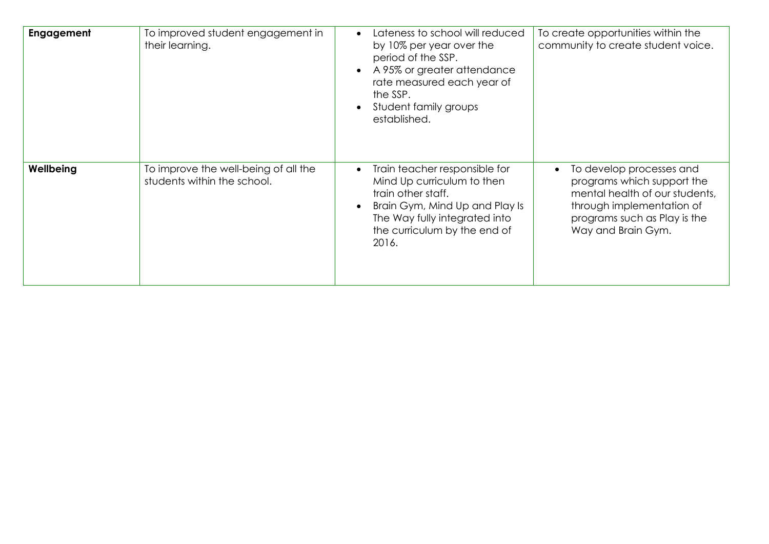| Engagement | To improved student engagement in<br>their learning.                | Lateness to school will reduced<br>$\bullet$<br>by 10% per year over the<br>period of the SSP.<br>A 95% or greater attendance<br>rate measured each year of<br>the SSP.<br>Student family groups<br>established. | To create opportunities within the<br>community to create student voice.                                                                                                                 |
|------------|---------------------------------------------------------------------|------------------------------------------------------------------------------------------------------------------------------------------------------------------------------------------------------------------|------------------------------------------------------------------------------------------------------------------------------------------------------------------------------------------|
| Wellbeing  | To improve the well-being of all the<br>students within the school. | Train teacher responsible for<br>$\bullet$<br>Mind Up curriculum to then<br>train other staff.<br>Brain Gym, Mind Up and Play Is<br>The Way fully integrated into<br>the curriculum by the end of<br>2016.       | To develop processes and<br>$\bullet$<br>programs which support the<br>mental health of our students,<br>through implementation of<br>programs such as Play is the<br>Way and Brain Gym. |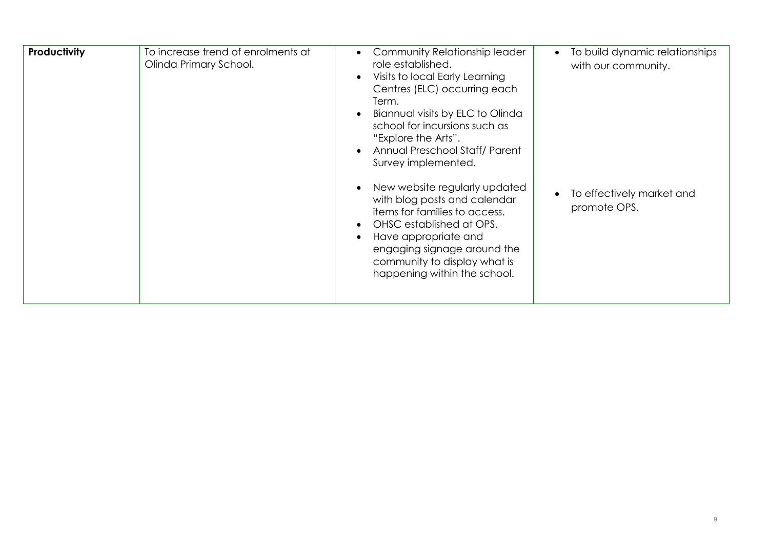| Productivity | To increase trend of enrolments at<br>Olinda Primary School. | Community Relationship leader<br>$\bullet$<br>role established.<br>Visits to local Early Learning<br>$\bullet$<br>Centres (ELC) occurring each<br>Term.<br>Biannual visits by ELC to Olinda<br>school for incursions such as<br>"Explore the Arts".<br>Annual Preschool Staff/ Parent<br>Survey implemented.<br>New website regularly updated<br>with blog posts and calendar<br>items for families to access.<br>OHSC established at OPS.<br>$\bullet$<br>Have appropriate and<br>$\bullet$<br>engaging signage around the<br>community to display what is<br>happening within the school. | To build dynamic relationships<br>$\bullet$<br>with our community.<br>To effectively market and<br>$\bullet$<br>promote OPS. |
|--------------|--------------------------------------------------------------|---------------------------------------------------------------------------------------------------------------------------------------------------------------------------------------------------------------------------------------------------------------------------------------------------------------------------------------------------------------------------------------------------------------------------------------------------------------------------------------------------------------------------------------------------------------------------------------------|------------------------------------------------------------------------------------------------------------------------------|
|--------------|--------------------------------------------------------------|---------------------------------------------------------------------------------------------------------------------------------------------------------------------------------------------------------------------------------------------------------------------------------------------------------------------------------------------------------------------------------------------------------------------------------------------------------------------------------------------------------------------------------------------------------------------------------------------|------------------------------------------------------------------------------------------------------------------------------|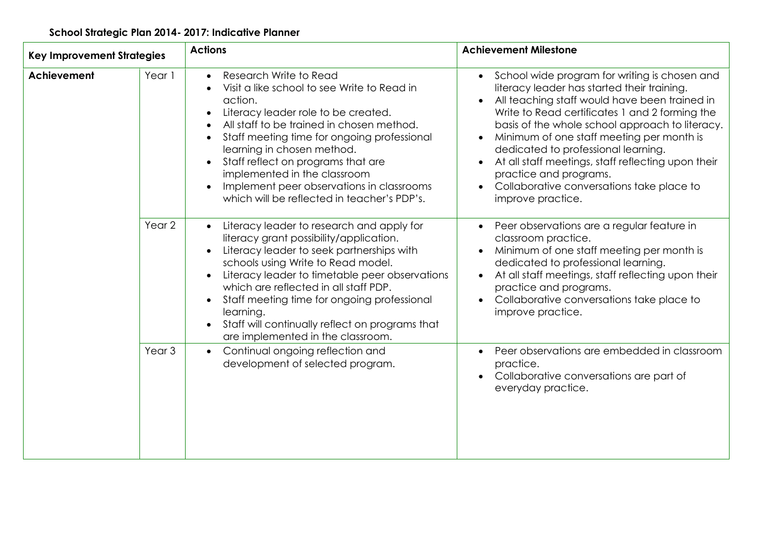## **School Strategic Plan 2014- 2017: Indicative Planner**

| <b>Key Improvement Strategies</b> |                   | <b>Actions</b>                                                                                                                                                                                                                                                                                                                                                                                                                                   | <b>Achievement Milestone</b>                                                                                                                                                                                                                                                                                                                                                                                                                                                                                                                              |
|-----------------------------------|-------------------|--------------------------------------------------------------------------------------------------------------------------------------------------------------------------------------------------------------------------------------------------------------------------------------------------------------------------------------------------------------------------------------------------------------------------------------------------|-----------------------------------------------------------------------------------------------------------------------------------------------------------------------------------------------------------------------------------------------------------------------------------------------------------------------------------------------------------------------------------------------------------------------------------------------------------------------------------------------------------------------------------------------------------|
| Achievement                       | Year 1            | Research Write to Read<br>Visit a like school to see Write to Read in<br>action.<br>Literacy leader role to be created.<br>All staff to be trained in chosen method.<br>Staff meeting time for ongoing professional<br>learning in chosen method.<br>Staff reflect on programs that are<br>$\bullet$<br>implemented in the classroom<br>Implement peer observations in classrooms<br>which will be reflected in teacher's PDP's.                 | School wide program for writing is chosen and<br>$\bullet$<br>literacy leader has started their training.<br>All teaching staff would have been trained in<br>$\bullet$<br>Write to Read certificates 1 and 2 forming the<br>basis of the whole school approach to literacy.<br>Minimum of one staff meeting per month is<br>$\bullet$<br>dedicated to professional learning.<br>At all staff meetings, staff reflecting upon their<br>$\bullet$<br>practice and programs.<br>Collaborative conversations take place to<br>$\bullet$<br>improve practice. |
|                                   | Year 2            | Literacy leader to research and apply for<br>literacy grant possibility/application.<br>Literacy leader to seek partnerships with<br>schools using Write to Read model.<br>Literacy leader to timetable peer observations<br>$\bullet$<br>which are reflected in all staff PDP.<br>Staff meeting time for ongoing professional<br>$\bullet$<br>learning.<br>Staff will continually reflect on programs that<br>are implemented in the classroom. | Peer observations are a regular feature in<br>$\bullet$<br>classroom practice.<br>Minimum of one staff meeting per month is<br>$\bullet$<br>dedicated to professional learning.<br>At all staff meetings, staff reflecting upon their<br>$\bullet$<br>practice and programs.<br>Collaborative conversations take place to<br>$\bullet$<br>improve practice.                                                                                                                                                                                               |
|                                   | Year <sub>3</sub> | Continual ongoing reflection and<br>$\bullet$<br>development of selected program.                                                                                                                                                                                                                                                                                                                                                                | Peer observations are embedded in classroom<br>$\bullet$<br>practice.<br>Collaborative conversations are part of<br>$\bullet$<br>everyday practice.                                                                                                                                                                                                                                                                                                                                                                                                       |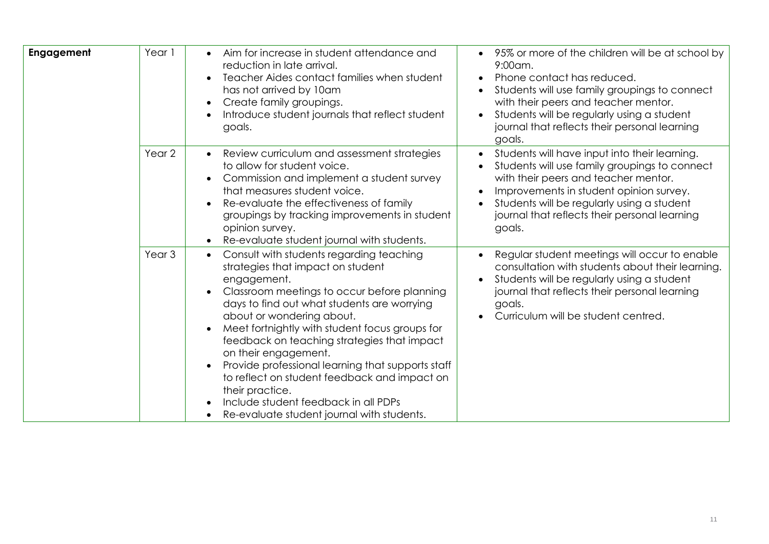| Engagement | Year 1            | Aim for increase in student attendance and<br>reduction in late arrival.<br>Teacher Aides contact families when student<br>has not arrived by 10am<br>Create family groupings.<br>$\bullet$<br>Introduce student journals that reflect student<br>goals.                                                                                                                                                                                                                                                                                                                                 | 95% or more of the children will be at school by<br>$9:00$ am.<br>Phone contact has reduced.<br>Students will use family groupings to connect<br>with their peers and teacher mentor.<br>Students will be regularly using a student<br>journal that reflects their personal learning<br>goals.          |
|------------|-------------------|------------------------------------------------------------------------------------------------------------------------------------------------------------------------------------------------------------------------------------------------------------------------------------------------------------------------------------------------------------------------------------------------------------------------------------------------------------------------------------------------------------------------------------------------------------------------------------------|---------------------------------------------------------------------------------------------------------------------------------------------------------------------------------------------------------------------------------------------------------------------------------------------------------|
|            | Year 2            | Review curriculum and assessment strategies<br>$\bullet$<br>to allow for student voice.<br>Commission and implement a student survey<br>$\bullet$<br>that measures student voice.<br>Re-evaluate the effectiveness of family<br>$\bullet$<br>groupings by tracking improvements in student<br>opinion survey.<br>Re-evaluate student journal with students.                                                                                                                                                                                                                              | Students will have input into their learning.<br>$\bullet$<br>Students will use family groupings to connect<br>with their peers and teacher mentor.<br>Improvements in student opinion survey.<br>Students will be regularly using a student<br>journal that reflects their personal learning<br>goals. |
|            | Year <sub>3</sub> | Consult with students regarding teaching<br>$\bullet$<br>strategies that impact on student<br>engagement.<br>Classroom meetings to occur before planning<br>days to find out what students are worrying<br>about or wondering about.<br>Meet fortnightly with student focus groups for<br>feedback on teaching strategies that impact<br>on their engagement.<br>Provide professional learning that supports staff<br>$\bullet$<br>to reflect on student feedback and impact on<br>their practice.<br>Include student feedback in all PDPs<br>Re-evaluate student journal with students. | Regular student meetings will occur to enable<br>consultation with students about their learning.<br>Students will be regularly using a student<br>journal that reflects their personal learning<br>goals.<br>Curriculum will be student centred.                                                       |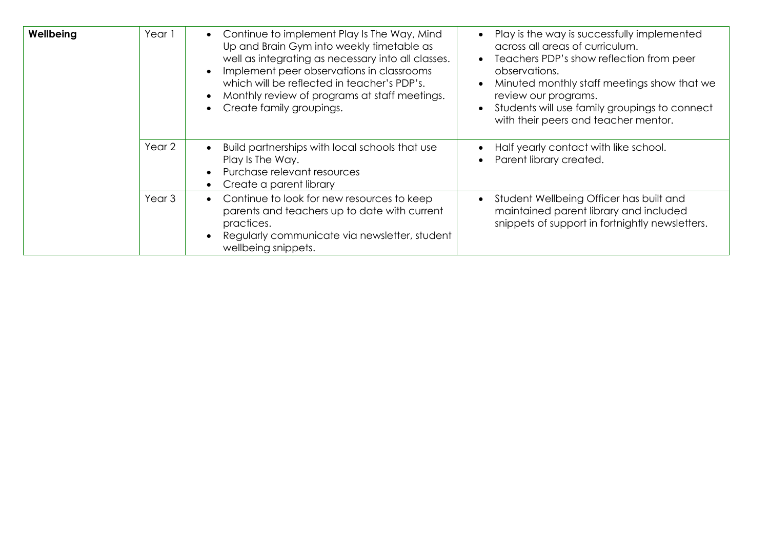| Wellbeing | Year 1            | Continue to implement Play Is The Way, Mind<br>Up and Brain Gym into weekly timetable as<br>well as integrating as necessary into all classes.<br>Implement peer observations in classrooms<br>which will be reflected in teacher's PDP's.<br>Monthly review of programs at staff meetings.<br>Create family groupings.<br>$\bullet$ | Play is the way is successfully implemented<br>across all areas of curriculum.<br>Teachers PDP's show reflection from peer<br>observations.<br>Minuted monthly staff meetings show that we<br>review our programs.<br>Students will use family groupings to connect<br>with their peers and teacher mentor. |
|-----------|-------------------|--------------------------------------------------------------------------------------------------------------------------------------------------------------------------------------------------------------------------------------------------------------------------------------------------------------------------------------|-------------------------------------------------------------------------------------------------------------------------------------------------------------------------------------------------------------------------------------------------------------------------------------------------------------|
|           | Year 2            | Build partnerships with local schools that use<br>$\bullet$<br>Play Is The Way.<br>Purchase relevant resources<br>Create a parent library<br>$\bullet$                                                                                                                                                                               | Half yearly contact with like school.<br>Parent library created.                                                                                                                                                                                                                                            |
|           | Year <sub>3</sub> | Continue to look for new resources to keep<br>$\bullet$<br>parents and teachers up to date with current<br>practices.<br>Regularly communicate via newsletter, student<br>wellbeing snippets.                                                                                                                                        | Student Wellbeing Officer has built and<br>maintained parent library and included<br>snippets of support in fortnightly newsletters.                                                                                                                                                                        |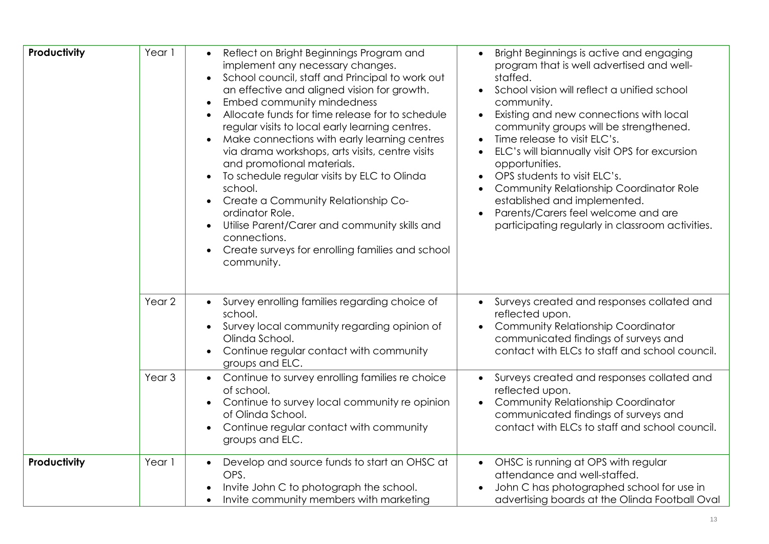| Productivity | Year 1            | Reflect on Bright Beginnings Program and<br>implement any necessary changes.<br>School council, staff and Principal to work out<br>$\bullet$<br>an effective and aligned vision for growth.<br>Embed community mindedness<br>$\bullet$<br>Allocate funds for time release for to schedule<br>$\bullet$<br>regular visits to local early learning centres.<br>Make connections with early learning centres<br>$\bullet$<br>via drama workshops, arts visits, centre visits<br>and promotional materials.<br>To schedule regular visits by ELC to Olinda<br>$\bullet$<br>school.<br>Create a Community Relationship Co-<br>$\bullet$<br>ordinator Role.<br>Utilise Parent/Carer and community skills and<br>$\bullet$<br>connections.<br>Create surveys for enrolling families and school<br>$\bullet$<br>community. | Bright Beginnings is active and engaging<br>program that is well advertised and well-<br>staffed.<br>School vision will reflect a unified school<br>$\bullet$<br>community.<br>Existing and new connections with local<br>$\bullet$<br>community groups will be strengthened.<br>Time release to visit ELC's.<br>$\bullet$<br>ELC's will biannually visit OPS for excursion<br>$\bullet$<br>opportunities.<br>OPS students to visit ELC's.<br>$\bullet$<br>Community Relationship Coordinator Role<br>$\bullet$<br>established and implemented.<br>Parents/Carers feel welcome and are<br>participating regularly in classroom activities. |
|--------------|-------------------|--------------------------------------------------------------------------------------------------------------------------------------------------------------------------------------------------------------------------------------------------------------------------------------------------------------------------------------------------------------------------------------------------------------------------------------------------------------------------------------------------------------------------------------------------------------------------------------------------------------------------------------------------------------------------------------------------------------------------------------------------------------------------------------------------------------------|--------------------------------------------------------------------------------------------------------------------------------------------------------------------------------------------------------------------------------------------------------------------------------------------------------------------------------------------------------------------------------------------------------------------------------------------------------------------------------------------------------------------------------------------------------------------------------------------------------------------------------------------|
|              | Year 2            | Survey enrolling families regarding choice of<br>$\bullet$<br>school.<br>Survey local community regarding opinion of<br>$\bullet$<br>Olinda School.<br>Continue regular contact with community<br>$\bullet$<br>groups and ELC.                                                                                                                                                                                                                                                                                                                                                                                                                                                                                                                                                                                     | Surveys created and responses collated and<br>reflected upon.<br>Community Relationship Coordinator<br>$\bullet$<br>communicated findings of surveys and<br>contact with ELCs to staff and school council.                                                                                                                                                                                                                                                                                                                                                                                                                                 |
|              | Year <sub>3</sub> | Continue to survey enrolling families re choice<br>of school.<br>Continue to survey local community re opinion<br>$\bullet$<br>of Olinda School.<br>Continue regular contact with community<br>groups and ELC.                                                                                                                                                                                                                                                                                                                                                                                                                                                                                                                                                                                                     | Surveys created and responses collated and<br>reflected upon.<br>Community Relationship Coordinator<br>communicated findings of surveys and<br>contact with ELCs to staff and school council.                                                                                                                                                                                                                                                                                                                                                                                                                                              |
| Productivity | Year 1            | Develop and source funds to start an OHSC at<br>$\bullet$<br>OPS.<br>Invite John C to photograph the school.<br>Invite community members with marketing                                                                                                                                                                                                                                                                                                                                                                                                                                                                                                                                                                                                                                                            | • OHSC is running at OPS with regular<br>attendance and well-staffed.<br>John C has photographed school for use in<br>advertising boards at the Olinda Football Oval                                                                                                                                                                                                                                                                                                                                                                                                                                                                       |